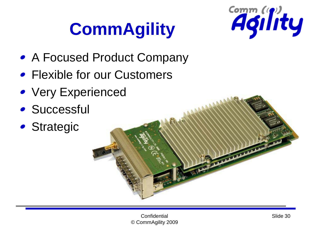## **CommAgility**



- A Focused Product Company
- Flexible for our Customers
- Very Experienced
- **Successful**
- Strategic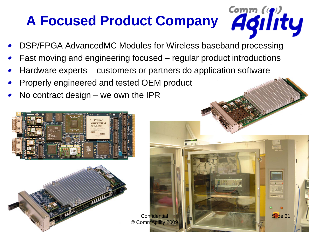# **A Focused Product Company**

Slide 31

- DSP/FPGA AdvancedMC Modules for Wireless baseband processing
- Fast moving and engineering focused regular product introductions

**Confidential** 

- Hardware experts customers or partners do application software
- Properly engineered and tested OEM product
- No contract design we own the IPR



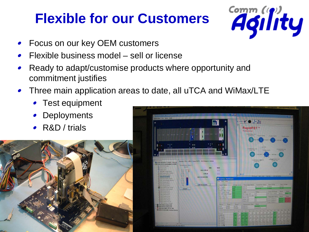#### **Flexible for our Customers**



- Focus on our key OEM customers
- Flexible business model sell or license
- Ready to adapt/customise products where opportunity and commitment justifies
- Three main application areas to date, all uTCA and WiMax/LTE
	- Test equipment
	- **Deployments**
	- R&D / trials



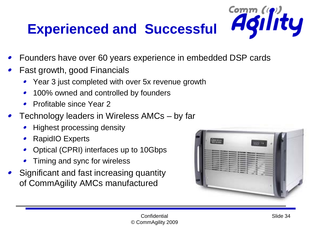### **Experienced and Successful**

- Founders have over 60 years experience in embedded DSP cards
- Fast growth, good Financials
	- Year 3 just completed with over 5x revenue growth
	- 100% owned and controlled by founders
	- Profitable since Year 2
- Technology leaders in Wireless AMCs by far
	- Highest processing density
	- RapidIO Experts  $\bullet$
	- Optical (CPRI) interfaces up to 10Gbps
	- Timing and sync for wireless
- Significant and fast increasing quantity of CommAgility AMCs manufactured



Comm (p)<br>**Agility**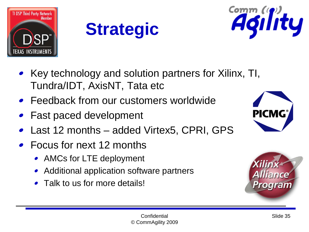





- Key technology and solution partners for Xilinx, TI, Tundra/IDT, AxisNT, Tata etc
- Feedback from our customers worldwide
- Fast paced development
- Last 12 months added Virtex5, CPRI, GPS
- Focus for next 12 months
	- AMCs for LTE deployment
	- Additional application software partners
	- Talk to us for more details!